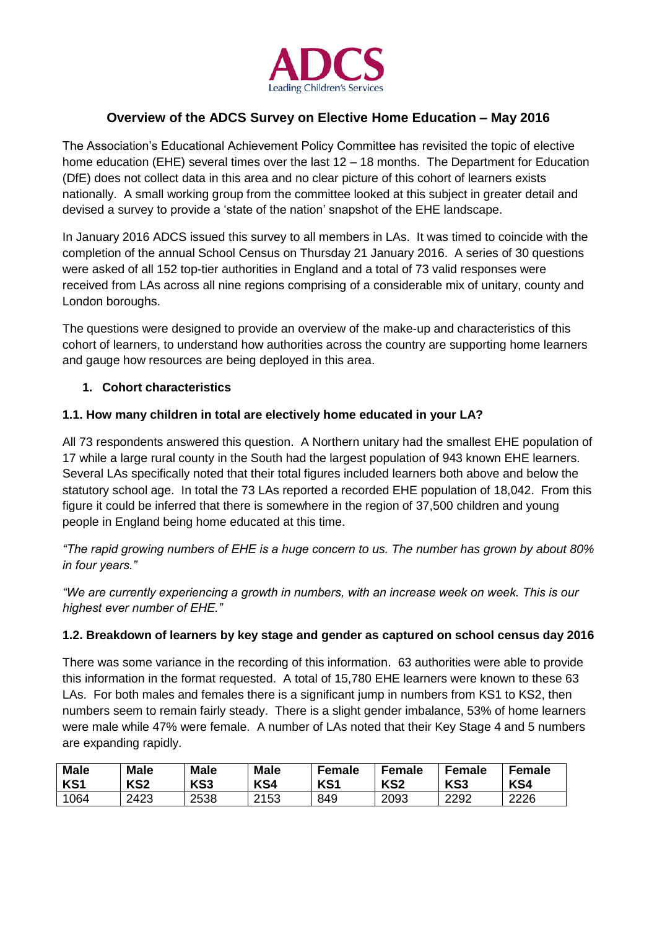

# **Overview of the ADCS Survey on Elective Home Education – May 2016**

The Association's Educational Achievement Policy Committee has revisited the topic of elective home education (EHE) several times over the last 12 – 18 months. The Department for Education (DfE) does not collect data in this area and no clear picture of this cohort of learners exists nationally. A small working group from the committee looked at this subject in greater detail and devised a survey to provide a 'state of the nation' snapshot of the EHE landscape.

In January 2016 ADCS issued this survey to all members in LAs. It was timed to coincide with the completion of the annual School Census on Thursday 21 January 2016. A series of 30 questions were asked of all 152 top-tier authorities in England and a total of 73 valid responses were received from LAs across all nine regions comprising of a considerable mix of unitary, county and London boroughs.

The questions were designed to provide an overview of the make-up and characteristics of this cohort of learners, to understand how authorities across the country are supporting home learners and gauge how resources are being deployed in this area.

#### **1. Cohort characteristics**

#### **1.1. How many children in total are electively home educated in your LA?**

All 73 respondents answered this question. A Northern unitary had the smallest EHE population of 17 while a large rural county in the South had the largest population of 943 known EHE learners. Several LAs specifically noted that their total figures included learners both above and below the statutory school age. In total the 73 LAs reported a recorded EHE population of 18,042. From this figure it could be inferred that there is somewhere in the region of 37,500 children and young people in England being home educated at this time.

*"The rapid growing numbers of EHE is a huge concern to us. The number has grown by about 80% in four years."*

*"We are currently experiencing a growth in numbers, with an increase week on week. This is our highest ever number of EHE."*

#### **1.2. Breakdown of learners by key stage and gender as captured on school census day 2016**

There was some variance in the recording of this information. 63 authorities were able to provide this information in the format requested. A total of 15,780 EHE learners were known to these 63 LAs. For both males and females there is a significant jump in numbers from KS1 to KS2, then numbers seem to remain fairly steady. There is a slight gender imbalance, 53% of home learners were male while 47% were female. A number of LAs noted that their Key Stage 4 and 5 numbers are expanding rapidly.

| <b>Male</b>     | <b>Male</b>     | <b>Male</b>     | <b>Male</b> | <b>Female</b>   | Female          | Female          | Female |
|-----------------|-----------------|-----------------|-------------|-----------------|-----------------|-----------------|--------|
| KS <sub>1</sub> | KS <sub>2</sub> | KS <sub>3</sub> | KS4         | KS <sub>1</sub> | KS <sub>2</sub> | KS <sub>3</sub> | KS4    |
| 1064            | 2423            | 2538            | 2153        | 849             | 2093            | 2292            | 2226   |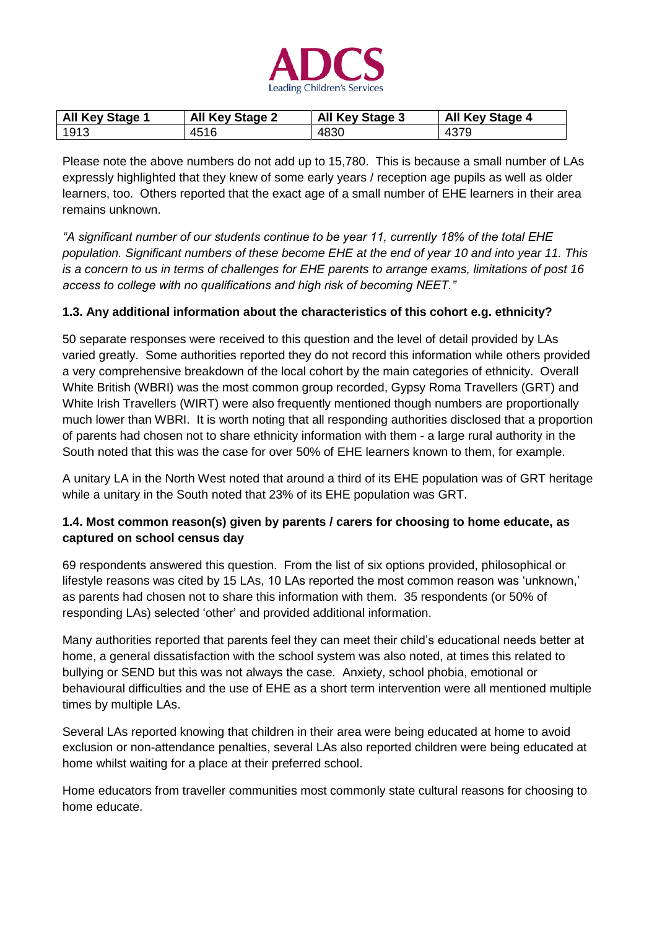

| <b>All Key Stage 1</b> | <b>All Key Stage 2</b> | <b>All Key Stage 3</b> | <b>All Key Stage 4</b> |
|------------------------|------------------------|------------------------|------------------------|
| 1913                   | 4516                   | 4830                   | 4379                   |

Please note the above numbers do not add up to 15,780. This is because a small number of LAs expressly highlighted that they knew of some early years / reception age pupils as well as older learners, too. Others reported that the exact age of a small number of EHE learners in their area remains unknown.

*"A significant number of our students continue to be year 11, currently 18% of the total EHE population. Significant numbers of these become EHE at the end of year 10 and into year 11. This is a concern to us in terms of challenges for EHE parents to arrange exams, limitations of post 16 access to college with no qualifications and high risk of becoming NEET."* 

#### **1.3. Any additional information about the characteristics of this cohort e.g. ethnicity?**

50 separate responses were received to this question and the level of detail provided by LAs varied greatly. Some authorities reported they do not record this information while others provided a very comprehensive breakdown of the local cohort by the main categories of ethnicity. Overall White British (WBRI) was the most common group recorded, Gypsy Roma Travellers (GRT) and White Irish Travellers (WIRT) were also frequently mentioned though numbers are proportionally much lower than WBRI. It is worth noting that all responding authorities disclosed that a proportion of parents had chosen not to share ethnicity information with them - a large rural authority in the South noted that this was the case for over 50% of EHE learners known to them, for example.

A unitary LA in the North West noted that around a third of its EHE population was of GRT heritage while a unitary in the South noted that 23% of its EHE population was GRT.

#### **1.4. Most common reason(s) given by parents / carers for choosing to home educate, as captured on school census day**

69 respondents answered this question. From the list of six options provided, philosophical or lifestyle reasons was cited by 15 LAs, 10 LAs reported the most common reason was 'unknown,' as parents had chosen not to share this information with them. 35 respondents (or 50% of responding LAs) selected 'other' and provided additional information.

Many authorities reported that parents feel they can meet their child's educational needs better at home, a general dissatisfaction with the school system was also noted, at times this related to bullying or SEND but this was not always the case. Anxiety, school phobia, emotional or behavioural difficulties and the use of EHE as a short term intervention were all mentioned multiple times by multiple LAs.

Several LAs reported knowing that children in their area were being educated at home to avoid exclusion or non-attendance penalties, several LAs also reported children were being educated at home whilst waiting for a place at their preferred school.

Home educators from traveller communities most commonly state cultural reasons for choosing to home educate.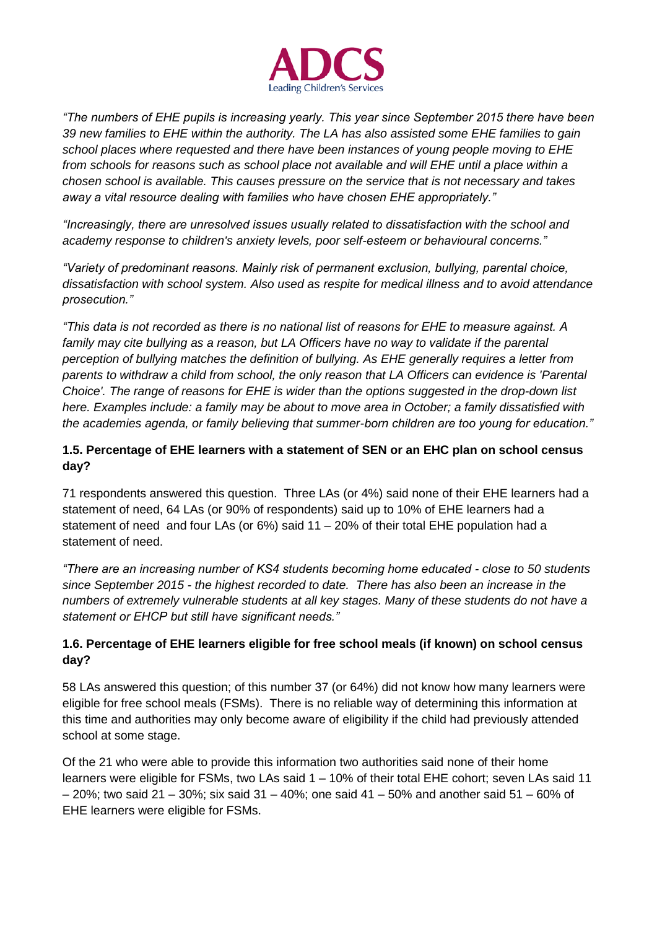

*"The numbers of EHE pupils is increasing yearly. This year since September 2015 there have been 39 new families to EHE within the authority. The LA has also assisted some EHE families to gain school places where requested and there have been instances of young people moving to EHE from schools for reasons such as school place not available and will EHE until a place within a chosen school is available. This causes pressure on the service that is not necessary and takes away a vital resource dealing with families who have chosen EHE appropriately."* 

*"Increasingly, there are unresolved issues usually related to dissatisfaction with the school and academy response to children's anxiety levels, poor self-esteem or behavioural concerns."*

*"Variety of predominant reasons. Mainly risk of permanent exclusion, bullying, parental choice, dissatisfaction with school system. Also used as respite for medical illness and to avoid attendance prosecution."*

*"This data is not recorded as there is no national list of reasons for EHE to measure against. A family may cite bullying as a reason, but LA Officers have no way to validate if the parental perception of bullying matches the definition of bullying. As EHE generally requires a letter from parents to withdraw a child from school, the only reason that LA Officers can evidence is 'Parental Choice'. The range of reasons for EHE is wider than the options suggested in the drop-down list here. Examples include: a family may be about to move area in October; a family dissatisfied with the academies agenda, or family believing that summer-born children are too young for education."*

### **1.5. Percentage of EHE learners with a statement of SEN or an EHC plan on school census day?**

71 respondents answered this question. Three LAs (or 4%) said none of their EHE learners had a statement of need, 64 LAs (or 90% of respondents) said up to 10% of EHE learners had a statement of need and four LAs (or  $6\%$ ) said  $11 - 20\%$  of their total EHE population had a statement of need.

*"There are an increasing number of KS4 students becoming home educated - close to 50 students since September 2015 - the highest recorded to date. There has also been an increase in the numbers of extremely vulnerable students at all key stages. Many of these students do not have a statement or EHCP but still have significant needs."*

## **1.6. Percentage of EHE learners eligible for free school meals (if known) on school census day?**

58 LAs answered this question; of this number 37 (or 64%) did not know how many learners were eligible for free school meals (FSMs). There is no reliable way of determining this information at this time and authorities may only become aware of eligibility if the child had previously attended school at some stage.

Of the 21 who were able to provide this information two authorities said none of their home learners were eligible for FSMs, two LAs said 1 – 10% of their total EHE cohort; seven LAs said 11 – 20%; two said 21 – 30%; six said 31 – 40%; one said 41 – 50% and another said 51 – 60% of EHE learners were eligible for FSMs.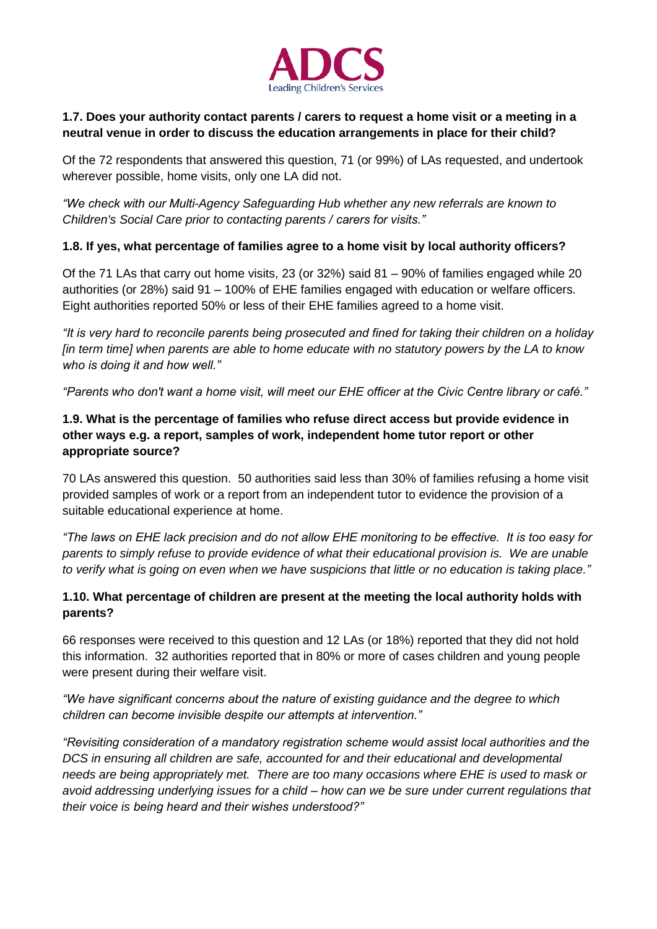

### **1.7. Does your authority contact parents / carers to request a home visit or a meeting in a neutral venue in order to discuss the education arrangements in place for their child?**

Of the 72 respondents that answered this question, 71 (or 99%) of LAs requested, and undertook wherever possible, home visits, only one LA did not.

*"We check with our Multi-Agency Safeguarding Hub whether any new referrals are known to Children's Social Care prior to contacting parents / carers for visits."*

### **1.8. If yes, what percentage of families agree to a home visit by local authority officers?**

Of the 71 LAs that carry out home visits, 23 (or 32%) said 81 – 90% of families engaged while 20 authorities (or 28%) said 91 – 100% of EHE families engaged with education or welfare officers. Eight authorities reported 50% or less of their EHE families agreed to a home visit.

*"It is very hard to reconcile parents being prosecuted and fined for taking their children on a holiday [in term time] when parents are able to home educate with no statutory powers by the LA to know who is doing it and how well."*

*"Parents who don't want a home visit, will meet our EHE officer at the Civic Centre library or café."*

## **1.9. What is the percentage of families who refuse direct access but provide evidence in other ways e.g. a report, samples of work, independent home tutor report or other appropriate source?**

70 LAs answered this question. 50 authorities said less than 30% of families refusing a home visit provided samples of work or a report from an independent tutor to evidence the provision of a suitable educational experience at home.

*"The laws on EHE lack precision and do not allow EHE monitoring to be effective. It is too easy for parents to simply refuse to provide evidence of what their educational provision is. We are unable to verify what is going on even when we have suspicions that little or no education is taking place."* 

### **1.10. What percentage of children are present at the meeting the local authority holds with parents?**

66 responses were received to this question and 12 LAs (or 18%) reported that they did not hold this information. 32 authorities reported that in 80% or more of cases children and young people were present during their welfare visit.

*"We have significant concerns about the nature of existing guidance and the degree to which children can become invisible despite our attempts at intervention."*

*"Revisiting consideration of a mandatory registration scheme would assist local authorities and the DCS in ensuring all children are safe, accounted for and their educational and developmental needs are being appropriately met. There are too many occasions where EHE is used to mask or avoid addressing underlying issues for a child – how can we be sure under current regulations that their voice is being heard and their wishes understood?"*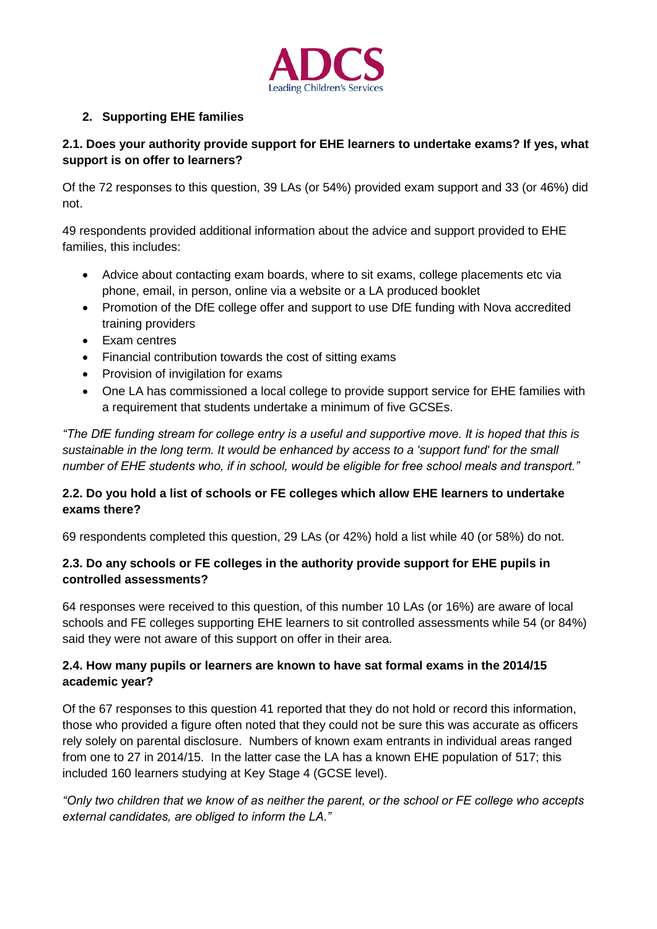

# **2. Supporting EHE families**

### **2.1. Does your authority provide support for EHE learners to undertake exams? If yes, what support is on offer to learners?**

Of the 72 responses to this question, 39 LAs (or 54%) provided exam support and 33 (or 46%) did not.

49 respondents provided additional information about the advice and support provided to EHE families, this includes:

- Advice about contacting exam boards, where to sit exams, college placements etc via phone, email, in person, online via a website or a LA produced booklet
- Promotion of the DfE college offer and support to use DfE funding with Nova accredited training providers
- Exam centres
- Financial contribution towards the cost of sitting exams
- Provision of invigilation for exams
- One LA has commissioned a local college to provide support service for EHE families with a requirement that students undertake a minimum of five GCSEs.

*"The DfE funding stream for college entry is a useful and supportive move. It is hoped that this is sustainable in the long term. It would be enhanced by access to a 'support fund' for the small number of EHE students who, if in school, would be eligible for free school meals and transport."*

## **2.2. Do you hold a list of schools or FE colleges which allow EHE learners to undertake exams there?**

69 respondents completed this question, 29 LAs (or 42%) hold a list while 40 (or 58%) do not.

### **2.3. Do any schools or FE colleges in the authority provide support for EHE pupils in controlled assessments?**

64 responses were received to this question, of this number 10 LAs (or 16%) are aware of local schools and FE colleges supporting EHE learners to sit controlled assessments while 54 (or 84%) said they were not aware of this support on offer in their area.

### **2.4. How many pupils or learners are known to have sat formal exams in the 2014/15 academic year?**

Of the 67 responses to this question 41 reported that they do not hold or record this information, those who provided a figure often noted that they could not be sure this was accurate as officers rely solely on parental disclosure. Numbers of known exam entrants in individual areas ranged from one to 27 in 2014/15. In the latter case the LA has a known EHE population of 517; this included 160 learners studying at Key Stage 4 (GCSE level).

*"Only two children that we know of as neither the parent, or the school or FE college who accepts external candidates, are obliged to inform the LA."*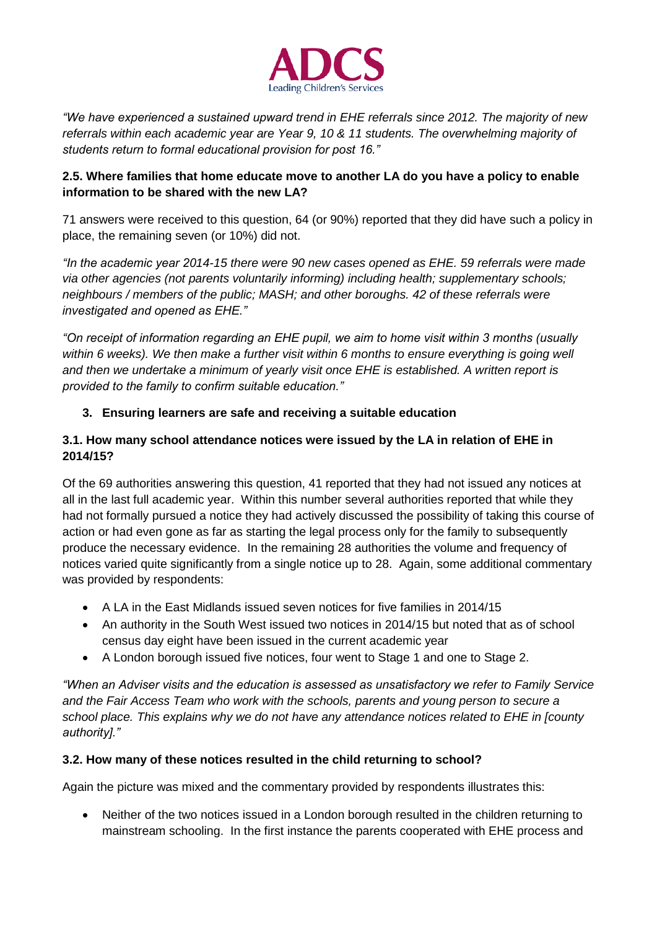

*"We have experienced a sustained upward trend in EHE referrals since 2012. The majority of new referrals within each academic year are Year 9, 10 & 11 students. The overwhelming majority of students return to formal educational provision for post 16."*

## **2.5. Where families that home educate move to another LA do you have a policy to enable information to be shared with the new LA?**

71 answers were received to this question, 64 (or 90%) reported that they did have such a policy in place, the remaining seven (or 10%) did not.

*"In the academic year 2014-15 there were 90 new cases opened as EHE. 59 referrals were made via other agencies (not parents voluntarily informing) including health; supplementary schools; neighbours / members of the public; MASH; and other boroughs. 42 of these referrals were investigated and opened as EHE."*

*"On receipt of information regarding an EHE pupil, we aim to home visit within 3 months (usually*  within 6 weeks). We then make a further visit within 6 months to ensure everything is going well *and then we undertake a minimum of yearly visit once EHE is established. A written report is provided to the family to confirm suitable education."*

# **3. Ensuring learners are safe and receiving a suitable education**

### **3.1. How many school attendance notices were issued by the LA in relation of EHE in 2014/15?**

Of the 69 authorities answering this question, 41 reported that they had not issued any notices at all in the last full academic year. Within this number several authorities reported that while they had not formally pursued a notice they had actively discussed the possibility of taking this course of action or had even gone as far as starting the legal process only for the family to subsequently produce the necessary evidence. In the remaining 28 authorities the volume and frequency of notices varied quite significantly from a single notice up to 28. Again, some additional commentary was provided by respondents:

- A LA in the East Midlands issued seven notices for five families in 2014/15
- An authority in the South West issued two notices in 2014/15 but noted that as of school census day eight have been issued in the current academic year
- A London borough issued five notices, four went to Stage 1 and one to Stage 2.

*"When an Adviser visits and the education is assessed as unsatisfactory we refer to Family Service and the Fair Access Team who work with the schools, parents and young person to secure a school place. This explains why we do not have any attendance notices related to EHE in [county authority]."*

### **3.2. How many of these notices resulted in the child returning to school?**

Again the picture was mixed and the commentary provided by respondents illustrates this:

 Neither of the two notices issued in a London borough resulted in the children returning to mainstream schooling. In the first instance the parents cooperated with EHE process and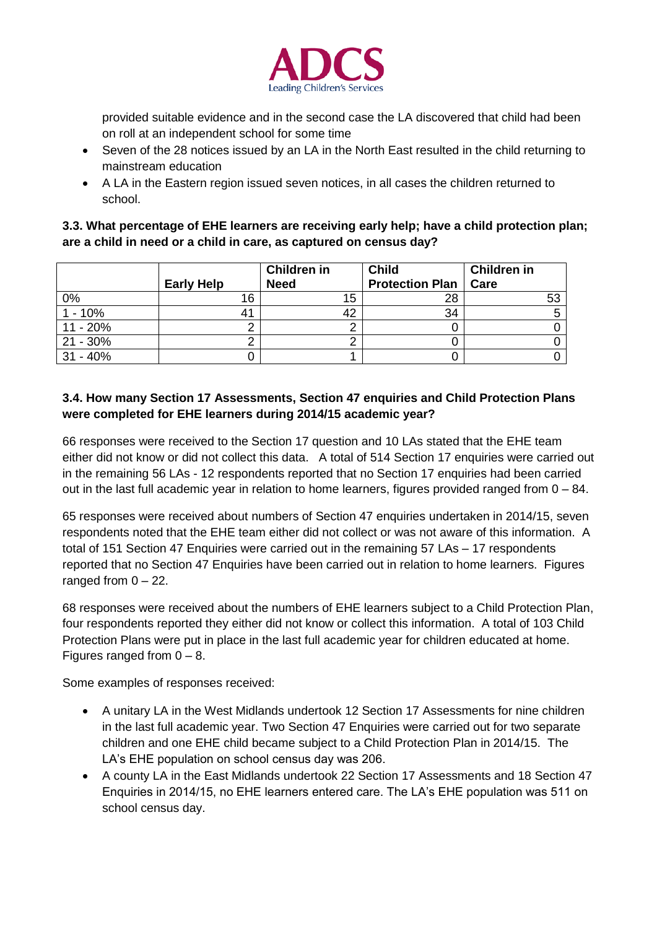

provided suitable evidence and in the second case the LA discovered that child had been on roll at an independent school for some time

- Seven of the 28 notices issued by an LA in the North East resulted in the child returning to mainstream education
- A LA in the Eastern region issued seven notices, in all cases the children returned to school.

### **3.3. What percentage of EHE learners are receiving early help; have a child protection plan; are a child in need or a child in care, as captured on census day?**

|             |                   | <b>Children in</b> | <b>Child</b>           | <b>Children in</b> |
|-------------|-------------------|--------------------|------------------------|--------------------|
|             | <b>Early Help</b> | <b>Need</b>        | <b>Protection Plan</b> | Care               |
| 0%          | 16                | 15                 | 28                     | 53                 |
| $1 - 10%$   |                   | 42                 | 34                     |                    |
| $11 - 20%$  |                   |                    |                        |                    |
| $21 - 30\%$ |                   |                    |                        |                    |
| $31 - 40%$  |                   |                    |                        |                    |

# **3.4. How many Section 17 Assessments, Section 47 enquiries and Child Protection Plans were completed for EHE learners during 2014/15 academic year?**

66 responses were received to the Section 17 question and 10 LAs stated that the EHE team either did not know or did not collect this data. A total of 514 Section 17 enquiries were carried out in the remaining 56 LAs - 12 respondents reported that no Section 17 enquiries had been carried out in the last full academic year in relation to home learners, figures provided ranged from  $0 - 84$ .

65 responses were received about numbers of Section 47 enquiries undertaken in 2014/15, seven respondents noted that the EHE team either did not collect or was not aware of this information. A total of 151 Section 47 Enquiries were carried out in the remaining 57 LAs – 17 respondents reported that no Section 47 Enquiries have been carried out in relation to home learners. Figures ranged from  $0 - 22$ .

68 responses were received about the numbers of EHE learners subject to a Child Protection Plan, four respondents reported they either did not know or collect this information. A total of 103 Child Protection Plans were put in place in the last full academic year for children educated at home. Figures ranged from  $0 - 8$ .

Some examples of responses received:

- A unitary LA in the West Midlands undertook 12 Section 17 Assessments for nine children in the last full academic year. Two Section 47 Enquiries were carried out for two separate children and one EHE child became subject to a Child Protection Plan in 2014/15. The LA's EHE population on school census day was 206.
- A county LA in the East Midlands undertook 22 Section 17 Assessments and 18 Section 47 Enquiries in 2014/15, no EHE learners entered care. The LA's EHE population was 511 on school census day.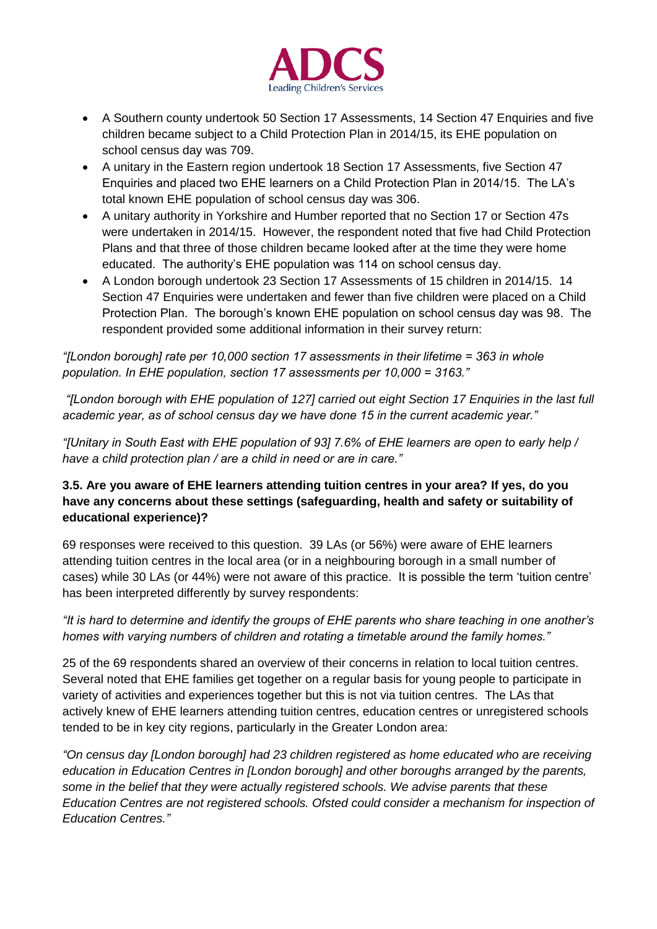

- A Southern county undertook 50 Section 17 Assessments, 14 Section 47 Enquiries and five children became subject to a Child Protection Plan in 2014/15, its EHE population on school census day was 709.
- A unitary in the Eastern region undertook 18 Section 17 Assessments, five Section 47 Enquiries and placed two EHE learners on a Child Protection Plan in 2014/15. The LA's total known EHE population of school census day was 306.
- A unitary authority in Yorkshire and Humber reported that no Section 17 or Section 47s were undertaken in 2014/15. However, the respondent noted that five had Child Protection Plans and that three of those children became looked after at the time they were home educated. The authority's EHE population was 114 on school census day.
- A London borough undertook 23 Section 17 Assessments of 15 children in 2014/15. 14 Section 47 Enquiries were undertaken and fewer than five children were placed on a Child Protection Plan. The borough's known EHE population on school census day was 98. The respondent provided some additional information in their survey return:

*"[London borough] rate per 10,000 section 17 assessments in their lifetime = 363 in whole population. In EHE population, section 17 assessments per 10,000 = 3163."*

*"[London borough with EHE population of 127] carried out eight Section 17 Enquiries in the last full academic year, as of school census day we have done 15 in the current academic year."*

*"[Unitary in South East with EHE population of 93] 7.6% of EHE learners are open to early help / have a child protection plan / are a child in need or are in care."*

## **3.5. Are you aware of EHE learners attending tuition centres in your area? If yes, do you have any concerns about these settings (safeguarding, health and safety or suitability of educational experience)?**

69 responses were received to this question. 39 LAs (or 56%) were aware of EHE learners attending tuition centres in the local area (or in a neighbouring borough in a small number of cases) while 30 LAs (or 44%) were not aware of this practice. It is possible the term 'tuition centre' has been interpreted differently by survey respondents:

### *"It is hard to determine and identify the groups of EHE parents who share teaching in one another's homes with varying numbers of children and rotating a timetable around the family homes."*

25 of the 69 respondents shared an overview of their concerns in relation to local tuition centres. Several noted that EHE families get together on a regular basis for young people to participate in variety of activities and experiences together but this is not via tuition centres. The LAs that actively knew of EHE learners attending tuition centres, education centres or unregistered schools tended to be in key city regions, particularly in the Greater London area:

*"On census day [London borough] had 23 children registered as home educated who are receiving education in Education Centres in [London borough] and other boroughs arranged by the parents, some in the belief that they were actually registered schools. We advise parents that these Education Centres are not registered schools. Ofsted could consider a mechanism for inspection of Education Centres."*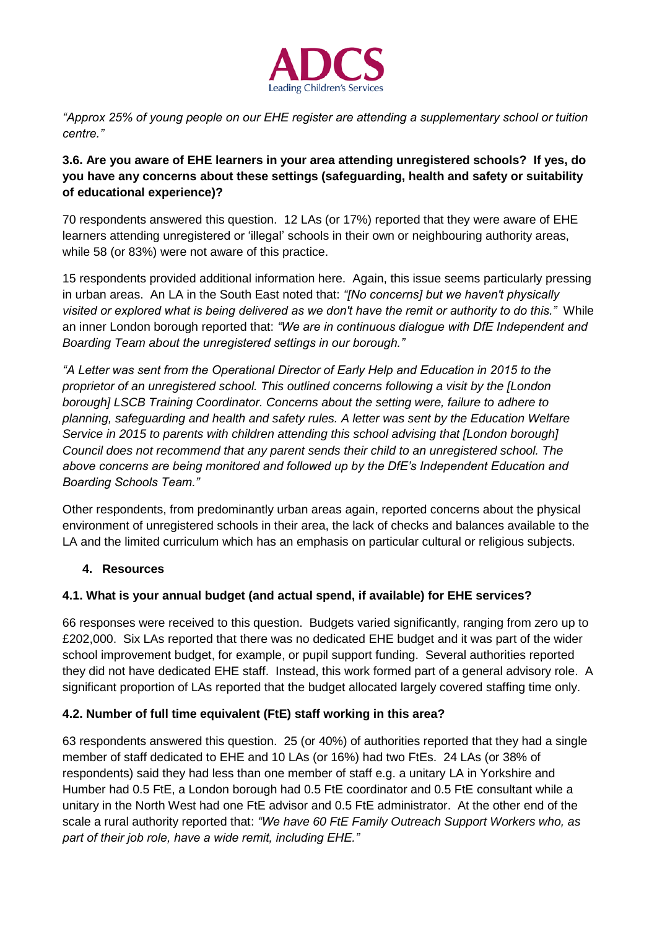

*"Approx 25% of young people on our EHE register are attending a supplementary school or tuition centre."*

### **3.6. Are you aware of EHE learners in your area attending unregistered schools? If yes, do you have any concerns about these settings (safeguarding, health and safety or suitability of educational experience)?**

70 respondents answered this question. 12 LAs (or 17%) reported that they were aware of EHE learners attending unregistered or 'illegal' schools in their own or neighbouring authority areas, while 58 (or 83%) were not aware of this practice.

15 respondents provided additional information here. Again, this issue seems particularly pressing in urban areas. An LA in the South East noted that: *"[No concerns] but we haven't physically visited or explored what is being delivered as we don't have the remit or authority to do this."* While an inner London borough reported that: *"We are in continuous dialogue with DfE Independent and Boarding Team about the unregistered settings in our borough."*

*"A Letter was sent from the Operational Director of Early Help and Education in 2015 to the proprietor of an unregistered school. This outlined concerns following a visit by the [London borough] LSCB Training Coordinator. Concerns about the setting were, failure to adhere to planning, safeguarding and health and safety rules. A letter was sent by the Education Welfare Service in 2015 to parents with children attending this school advising that [London borough] Council does not recommend that any parent sends their child to an unregistered school. The above concerns are being monitored and followed up by the DfE's Independent Education and Boarding Schools Team."*

Other respondents, from predominantly urban areas again, reported concerns about the physical environment of unregistered schools in their area, the lack of checks and balances available to the LA and the limited curriculum which has an emphasis on particular cultural or religious subjects.

# **4. Resources**

### **4.1. What is your annual budget (and actual spend, if available) for EHE services?**

66 responses were received to this question. Budgets varied significantly, ranging from zero up to £202,000. Six LAs reported that there was no dedicated EHE budget and it was part of the wider school improvement budget, for example, or pupil support funding. Several authorities reported they did not have dedicated EHE staff. Instead, this work formed part of a general advisory role. A significant proportion of LAs reported that the budget allocated largely covered staffing time only.

# **4.2. Number of full time equivalent (FtE) staff working in this area?**

63 respondents answered this question. 25 (or 40%) of authorities reported that they had a single member of staff dedicated to EHE and 10 LAs (or 16%) had two FtEs. 24 LAs (or 38% of respondents) said they had less than one member of staff e.g. a unitary LA in Yorkshire and Humber had 0.5 FtE, a London borough had 0.5 FtE coordinator and 0.5 FtE consultant while a unitary in the North West had one FtE advisor and 0.5 FtE administrator. At the other end of the scale a rural authority reported that: *"We have 60 FtE Family Outreach Support Workers who, as part of their job role, have a wide remit, including EHE."*